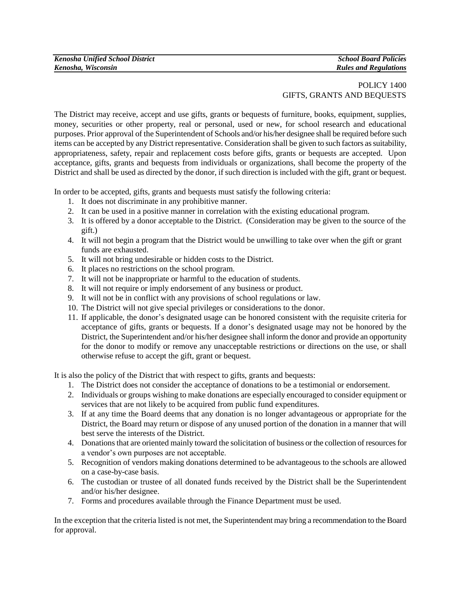## POLICY 1400 GIFTS, GRANTS AND BEQUESTS

The District may receive, accept and use gifts, grants or bequests of furniture, books, equipment, supplies, money, securities or other property, real or personal, used or new, for school research and educational purposes. Prior approval of the Superintendent of Schools and/or his/her designee shall be required before such items can be accepted by any District representative. Consideration shall be given to such factors as suitability, appropriateness, safety, repair and replacement costs before gifts, grants or bequests are accepted. Upon acceptance, gifts, grants and bequests from individuals or organizations, shall become the property of the District and shall be used as directed by the donor, if such direction is included with the gift, grant or bequest.

In order to be accepted, gifts, grants and bequests must satisfy the following criteria:

- 1. It does not discriminate in any prohibitive manner.
- 2. It can be used in a positive manner in correlation with the existing educational program.
- 3. It is offered by a donor acceptable to the District. (Consideration may be given to the source of the gift.)
- 4. It will not begin a program that the District would be unwilling to take over when the gift or grant funds are exhausted.
- 5. It will not bring undesirable or hidden costs to the District.
- 6. It places no restrictions on the school program.
- 7. It will not be inappropriate or harmful to the education of students.
- 8. It will not require or imply endorsement of any business or product.
- 9. It will not be in conflict with any provisions of school regulations or law.
- 10. The District will not give special privileges or considerations to the donor.
- 11. If applicable, the donor's designated usage can be honored consistent with the requisite criteria for acceptance of gifts, grants or bequests. If a donor's designated usage may not be honored by the District, the Superintendent and/or his/her designee shall inform the donor and provide an opportunity for the donor to modify or remove any unacceptable restrictions or directions on the use, or shall otherwise refuse to accept the gift, grant or bequest.

It is also the policy of the District that with respect to gifts, grants and bequests:

- 1. The District does not consider the acceptance of donations to be a testimonial or endorsement.
- 2. Individuals or groups wishing to make donations are especially encouraged to consider equipment or services that are not likely to be acquired from public fund expenditures.
- 3. If at any time the Board deems that any donation is no longer advantageous or appropriate for the District, the Board may return or dispose of any unused portion of the donation in a manner that will best serve the interests of the District.
- 4. Donations that are oriented mainly toward the solicitation of business or the collection of resources for a vendor's own purposes are not acceptable.
- 5. Recognition of vendors making donations determined to be advantageous to the schools are allowed on a case-by-case basis.
- 6. The custodian or trustee of all donated funds received by the District shall be the Superintendent and/or his/her designee.
- 7. Forms and procedures available through the Finance Department must be used.

In the exception that the criteria listed is not met, the Superintendent may bring a recommendation to the Board for approval.